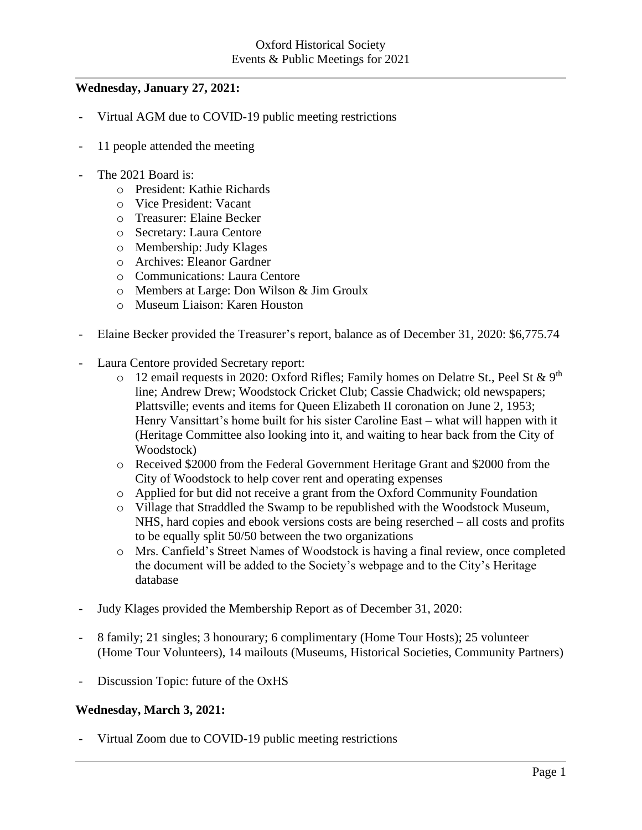# **Wednesday, January 27, 2021:**

- Virtual AGM due to COVID-19 public meeting restrictions
- 11 people attended the meeting
- The 2021 Board is:
	- o President: Kathie Richards
	- o Vice President: Vacant
	- o Treasurer: Elaine Becker
	- o Secretary: Laura Centore
	- o Membership: Judy Klages
	- o Archives: Eleanor Gardner
	- o Communications: Laura Centore
	- o Members at Large: Don Wilson & Jim Groulx
	- o Museum Liaison: Karen Houston
- Elaine Becker provided the Treasurer's report, balance as of December 31, 2020: \$6,775.74
- Laura Centore provided Secretary report:
	- o 12 email requests in 2020: Oxford Rifles; Family homes on Delatre St., Peel St & 9<sup>th</sup> line; Andrew Drew; Woodstock Cricket Club; Cassie Chadwick; old newspapers; Plattsville; events and items for Queen Elizabeth II coronation on June 2, 1953; Henry Vansittart's home built for his sister Caroline East – what will happen with it (Heritage Committee also looking into it, and waiting to hear back from the City of Woodstock)
	- o Received \$2000 from the Federal Government Heritage Grant and \$2000 from the City of Woodstock to help cover rent and operating expenses
	- o Applied for but did not receive a grant from the Oxford Community Foundation
	- o Village that Straddled the Swamp to be republished with the Woodstock Museum, NHS, hard copies and ebook versions costs are being reserched – all costs and profits to be equally split 50/50 between the two organizations
	- o Mrs. Canfield's Street Names of Woodstock is having a final review, once completed the document will be added to the Society's webpage and to the City's Heritage database
- Judy Klages provided the Membership Report as of December 31, 2020:
- 8 family; 21 singles; 3 honourary; 6 complimentary (Home Tour Hosts); 25 volunteer (Home Tour Volunteers), 14 mailouts (Museums, Historical Societies, Community Partners)
- Discussion Topic: future of the OxHS

#### **Wednesday, March 3, 2021:**

Virtual Zoom due to COVID-19 public meeting restrictions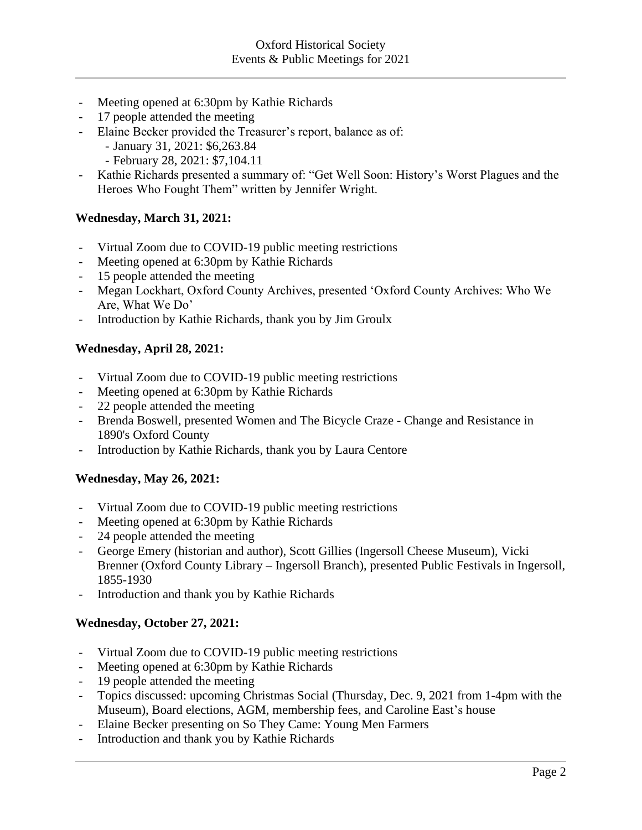- Meeting opened at 6:30pm by Kathie Richards
- 17 people attended the meeting
- Elaine Becker provided the Treasurer's report, balance as of:
	- January 31, 2021: \$6,263.84
	- February 28, 2021: \$7,104.11
- Kathie Richards presented a summary of: "Get Well Soon: History's Worst Plagues and the Heroes Who Fought Them" written by Jennifer Wright.

## **Wednesday, March 31, 2021:**

- Virtual Zoom due to COVID-19 public meeting restrictions
- Meeting opened at 6:30pm by Kathie Richards
- 15 people attended the meeting
- Megan Lockhart, Oxford County Archives, presented 'Oxford County Archives: Who We Are, What We Do'
- Introduction by Kathie Richards, thank you by Jim Groulx

## **Wednesday, April 28, 2021:**

- Virtual Zoom due to COVID-19 public meeting restrictions
- Meeting opened at 6:30pm by Kathie Richards
- 22 people attended the meeting
- Brenda Boswell, presented Women and The Bicycle Craze Change and Resistance in 1890's Oxford County
- Introduction by Kathie Richards, thank you by Laura Centore

#### **Wednesday, May 26, 2021:**

- Virtual Zoom due to COVID-19 public meeting restrictions
- Meeting opened at 6:30pm by Kathie Richards
- 24 people attended the meeting
- George Emery (historian and author), Scott Gillies (Ingersoll Cheese Museum), Vicki Brenner (Oxford County Library – Ingersoll Branch), presented Public Festivals in Ingersoll, 1855-1930
- Introduction and thank you by Kathie Richards

#### **Wednesday, October 27, 2021:**

- Virtual Zoom due to COVID-19 public meeting restrictions
- Meeting opened at 6:30pm by Kathie Richards
- 19 people attended the meeting
- Topics discussed: upcoming Christmas Social (Thursday, Dec. 9, 2021 from 1-4pm with the Museum), Board elections, AGM, membership fees, and Caroline East's house
- Elaine Becker presenting on So They Came: Young Men Farmers
- Introduction and thank you by Kathie Richards